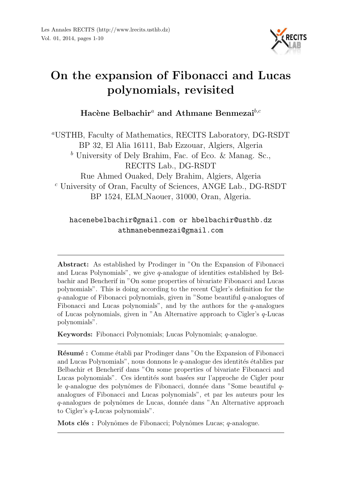

# On the expansion of Fibonacci and Lucas polynomials, revisited

Hacène Belbachir<sup>a</sup> and Athmane Benmezai<sup>b,c</sup>

<sup>a</sup>USTHB, Faculty of Mathematics, RECITS Laboratory, DG-RSDT BP 32, El Alia 16111, Bab Ezzouar, Algiers, Algeria  $<sup>b</sup>$  University of Dely Brahim, Fac. of Eco. & Manag. Sc.,</sup> RECITS Lab., DG-RSDT Rue Ahmed Ouaked, Dely Brahim, Algiers, Algeria <sup>c</sup> University of Oran, Faculty of Sciences, ANGE Lab., DG-RSDT BP 1524, ELM Naouer, 31000, Oran, Algeria.

#### hacenebelbachir@gmail.com or hbelbachir@usthb.dz athmanebenmezai@gmail.com

Abstract: As established by Prodinger in "On the Expansion of Fibonacci and Lucas Polynomials", we give q-analogue of identities established by Belbachir and Bencherif in "On some properties of bivariate Fibonacci and Lucas polynomials". This is doing according to the recent Cigler's definition for the q-analogue of Fibonacci polynomials, given in "Some beautiful q-analogues of Fibonacci and Lucas polynomials", and by the authors for the q-analogues of Lucas polynomials, given in "An Alternative approach to Cigler's q-Lucas polynomials".

Keywords: Fibonacci Polynomials; Lucas Polynomials; q-analogue.

Résumé : Comme établi par Prodinger dans "On the Expansion of Fibonacci and Lucas Polynomials", nous donnons le  $q$ -analogue des identités établies par Belbachir et Bencherif dans "On some properties of bivariate Fibonacci and Lucas polynomials". Ces identités sont basées sur l'approche de Cigler pour le q-analogue des polynômes de Fibonacci, donnée dans "Some beautiful qanalogues of Fibonacci and Lucas polynomials", et par les auteurs pour les q-analogues de polynômes de Lucas, donnée dans "An Alternative approach to Cigler's q-Lucas polynomials".

Mots clés : Polynômes de Fibonacci; Polynômes Lucas;  $q$ -analogue.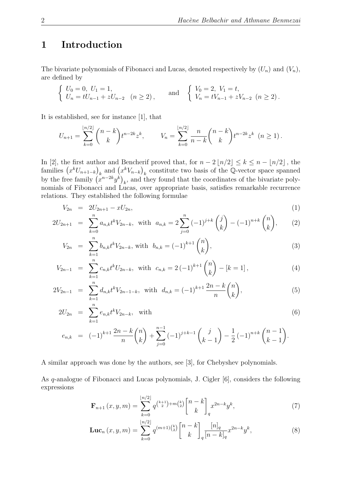### 1 Introduction

The bivariate polynomials of Fibonacci and Lucas, denoted respectively by  $(U_n)$  and  $(V_n)$ , are defined by

$$
\begin{cases}\nU_0 = 0, U_1 = 1, \\
U_n = tU_{n-1} + zU_{n-2} \quad (n \ge 2),\n\end{cases}\n\text{ and }\n\begin{cases}\nV_0 = 2, V_1 = t, \\
V_n = tV_{n-1} + zV_{n-2} \quad (n \ge 2).\n\end{cases}
$$

It is established, see for instance [1], that

$$
U_{n+1} = \sum_{k=0}^{\lfloor n/2 \rfloor} {n-k \choose k} t^{n-2k} z^k, \qquad V_n = \sum_{k=0}^{\lfloor n/2 \rfloor} \frac{n}{n-k} {n-k \choose k} t^{n-2k} z^k \quad (n \ge 1).
$$

In [2], the first author and Bencherif proved that, for  $n - 2 \lfloor n/2 \rfloor \le k \le n - \lfloor n/2 \rfloor$ , the families  $(x^kU_{n+1-k})_k$  and  $(x^kV_{n-k})_k$  constitute two basis of the Q-vector space spanned by the free family  $(x^{n-2k}y^k)_k$ , and they found that the coordinates of the bivariate polynomials of Fibonacci and Lucas, over appropriate basis, satisfies remarkable recurrence relations. They established the following formulae

$$
V_{2n} = 2U_{2n+1} - xU_{2n}, \tag{1}
$$

$$
2U_{2n+1} = \sum_{k=0}^{n} a_{n,k} t^k V_{2n-k}, \text{ with } a_{n,k} = 2\sum_{j=0}^{n} (-1)^{j+k} \binom{j}{k} - (-1)^{n+k} \binom{n}{k}, \qquad (2)
$$

$$
V_{2n} = \sum_{k=1}^{n} b_{n,k} t^k V_{2n-k}, \text{ with } b_{n,k} = (-1)^{k+1} \binom{n}{k}, \tag{3}
$$

$$
V_{2n-1} = \sum_{k=1}^{n} c_{n,k} t^k U_{2n-k}, \text{ with } c_{n,k} = 2(-1)^{k+1} \binom{n}{k} - [k=1], \tag{4}
$$

$$
2V_{2n-1} = \sum_{k=1}^{n} d_{n,k} t^k V_{2n-1-k}, \text{ with } d_{n,k} = (-1)^{k+1} \frac{2n-k}{n} {n \choose k}, \tag{5}
$$

$$
2U_{2n} = \sum_{k=1}^{n} e_{n,k} t^k V_{2n-k}, \text{ with } (6)
$$

$$
e_{n,k} = (-1)^{k+1} \frac{2n-k}{n} {n \choose k} + \sum_{j=0}^{n-1} (-1)^{j+k-1} {j \choose k-1} - \frac{1}{2} (-1)^{n+k} {n-1 \choose k-1}.
$$

A similar approach was done by the authors, see [3], for Chebyshev polynomials.

As q-analogue of Fibonacci and Lucas polynomials, J. Cigler [6], considers the following expressions

$$
\mathbf{F}_{n+1}(x, y, m) = \sum_{k=0}^{\lfloor n/2 \rfloor} q^{\binom{k+1}{2} + m\binom{k}{2}} \begin{bmatrix} n-k \\ k \end{bmatrix}_q x^{2n-k} y^k,
$$
 (7)

$$
\mathbf{Luc}_n(x, y, m) = \sum_{k=0}^{\lfloor n/2 \rfloor} q^{(m+1)\binom{k}{2}} \binom{n-k}{k}_{q} \frac{[n]_q}{[n-k]_q} x^{2n-k} y^k,
$$
\n(8)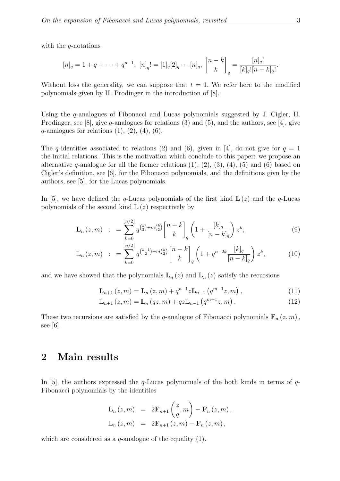with the  $q$ -notations

$$
[n]_q = 1 + q + \dots + q^{n-1}, \ [n]_q! = [1]_q[2]_q \cdots [n]_q, \ \begin{bmatrix} n-k \\ k \end{bmatrix}_q = \frac{[n]_q!}{[k]_q! [n-k]_q!}.
$$

Without loss the generality, we can suppose that  $t = 1$ . We refer here to the modified polynomials given by H. Prodinger in the introduction of [8].

Using the q-analogues of Fibonacci and Lucas polynomials suggested by J. Cigler, H. Prodinger, see [8], give q-analogues for relations (3) and (5), and the authors, see [4], give  $q$ -analogues for relations  $(1), (2), (4), (6)$ .

The q-identities associated to relations (2) and (6), given in [4], do not give for  $q = 1$ the initial relations. This is the motivation which conclude to this paper: we propose an alternative q-analogue for all the former relations  $(1)$ ,  $(2)$ ,  $(3)$ ,  $(4)$ ,  $(5)$  and  $(6)$  based on Cigler's definition, see [6], for the Fibonacci polynomials, and the definitions givn by the authors, see [5], for the Lucas polynomials.

In [5], we have defined the q-Lucas polynomials of the first kind  $\mathbf{L}(z)$  and the q-Lucas polynomials of the second kind  $\mathbb{L}(z)$  respectively by

$$
\mathbf{L}_{n}(z,m) := \sum_{k=0}^{\lfloor n/2 \rfloor} q^{\binom{k}{2} + m\binom{k}{2}} \binom{n-k}{k}_{q} \left( 1 + \frac{[k]_q}{[n-k]_q} \right) z^{k}, \tag{9}
$$

$$
\mathbb{L}_n(z,m) := \sum_{k=0}^{\lfloor n/2 \rfloor} q^{\binom{k+1}{2} + m\binom{k}{2}} \begin{bmatrix} n-k \\ k \end{bmatrix}_q \left( 1 + q^{n-2k} \frac{[k]_q}{[n-k]_q} \right) z^k, \tag{10}
$$

and we have showed that the polynomials  $\mathbf{L}_n(z)$  and  $\mathbb{L}_n(z)$  satisfy the recursions

$$
\mathbf{L}_{n+1}(z,m) = \mathbf{L}_n(z,m) + q^{n-1} z \mathbf{L}_{n-1}(q^{m-1}z,m), \qquad (11)
$$

$$
\mathbb{L}_{n+1}(z,m) = \mathbb{L}_n(qz,m) + qz \mathbb{L}_{n-1}(q^{m+1}z,m).
$$
 (12)

These two recursions are satisfied by the q-analogue of Fibonacci polynomials  $\mathbf{F}_n(z, m)$ , see [6].

#### 2 Main results

In [5], the authors expressed the  $q$ -Lucas polynomials of the both kinds in terms of  $q$ -Fibonacci polynomials by the identities

$$
\mathbf{L}_{n}(z,m) = 2\mathbf{F}_{n+1}\left(\frac{z}{q},m\right) - \mathbf{F}_{n}(z,m),
$$
  

$$
\mathbb{L}_{n}(z,m) = 2\mathbf{F}_{n+1}(z,m) - \mathbf{F}_{n}(z,m),
$$

which are considered as a  $q$ -analogue of the equality (1).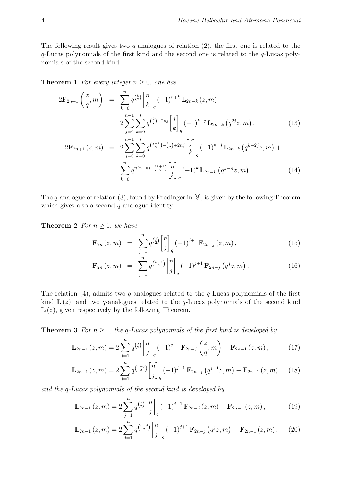The following result gives two q-analogues of relation  $(2)$ , the first one is related to the q-Lucas polynomials of the first kind and the second one is related to the q-Lucas polynomials of the second kind.

**Theorem 1** For every integer  $n \geq 0$ , one has

$$
2\mathbf{F}_{2n+1}\left(\frac{z}{q},m\right) = \sum_{k=0}^{n} q^{\binom{k}{2}} \begin{bmatrix} n \\ k \end{bmatrix}_{q} (-1)^{n+k} \mathbf{L}_{2n-k}(z,m) +
$$
  

$$
2\sum_{j=0}^{n-1} \sum_{k=0}^{j} q^{\binom{k}{2} - 2nj} \begin{bmatrix} j \\ k \end{bmatrix}_{q} (-1)^{k+j} \mathbf{L}_{2n-k}\left(q^{2j}z, m\right),
$$
  

$$
2\mathbf{F}_{2n+1}(z,m) = 2\sum_{j=0}^{n-1} \sum_{k=0}^{j} q^{\binom{j-k}{2} - \binom{j}{2} + 2nj} \begin{bmatrix} j \\ k \end{bmatrix}_{q} (-1)^{k+j} \mathbb{L}_{2n-k}\left(q^{k-2j}z, m\right) +
$$

$$
\sum_{k=0}^{n} q^{n(n-k)+\binom{k+1}{2}} \begin{bmatrix} n \\ k \end{bmatrix}_q (-1)^k \mathbb{L}_{2n-k} \left( q^{k-n} z, m \right). \tag{14}
$$

The q-analogue of relation (3), found by Prodinger in [8], is given by the following Theorem which gives also a second  $q$ -analogue identity.

**Theorem 2** For  $n \geq 1$ , we have

$$
\mathbf{F}_{2n}(z,m) = \sum_{j=1}^{n} q^{\binom{j}{2}} \begin{bmatrix} n \\ j \end{bmatrix}_{q} (-1)^{j+1} \mathbf{F}_{2n-j}(z,m), \qquad (15)
$$

$$
\mathbf{F}_{2n}(z,m) = \sum_{j=1}^{n} q^{\binom{n-j}{2}} \begin{bmatrix} n \\ j \end{bmatrix}_{q} (-1)^{j+1} \mathbf{F}_{2n-j} (q^{j} z, m). \tag{16}
$$

The relation (4), admits two q-analogues related to the q-Lucas polynomials of the first kind  $\mathbf{L}(z)$ , and two q-analogues related to the q-Lucas polynomials of the second kind  $\mathbb{L}(z)$ , given respectively by the following Theorem.

**Theorem 3** For  $n \geq 1$ , the q-Lucas polynomials of the first kind is developed by

$$
\mathbf{L}_{2n-1}(z,m) = 2 \sum_{j=1}^{n} q^{\binom{j}{2}} \begin{bmatrix} n \\ j \end{bmatrix}_{q} (-1)^{j+1} \mathbf{F}_{2n-j} \left( \frac{z}{q}, m \right) - \mathbf{F}_{2n-1}(z,m), \quad (17)
$$

$$
\mathbf{L}_{2n-1}(z,m) = 2 \sum_{j=1}^{n} q^{\binom{n-j}{2}} \begin{bmatrix} n \\ j \end{bmatrix}_{q} (-1)^{j+1} \mathbf{F}_{2n-j} \left( q^{j-1} z, m \right) - \mathbf{F}_{2n-1}(z,m). \tag{18}
$$

and the q-Lucas polynomials of the second kind is developed by

$$
\mathbb{L}_{2n-1}(z,m) = 2 \sum_{j=1}^{n} q^{\binom{j}{2}} \begin{bmatrix} n \\ j \end{bmatrix}_{q} (-1)^{j+1} \mathbf{F}_{2n-j}(z,m) - \mathbf{F}_{2n-1}(z,m), \qquad (19)
$$

$$
\mathbb{L}_{2n-1}(z,m) = 2\sum_{j=1}^{n} q^{\binom{n-j}{2}} \begin{bmatrix} n \\ j \end{bmatrix}_{q} (-1)^{j+1} \mathbf{F}_{2n-j} (q^{j} z, m) - \mathbf{F}_{2n-1}(z, m). \tag{20}
$$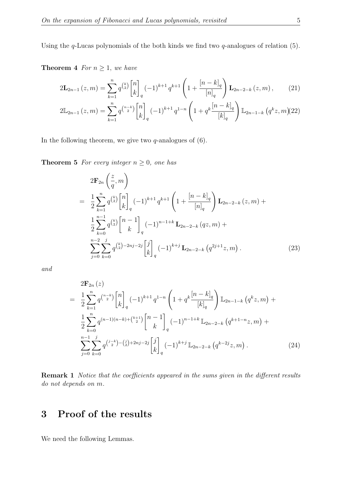Using the  $q$ -Lucas polynomials of the both kinds we find two  $q$ -analogues of relation (5).

**Theorem 4** For  $n \geq 1$ , we have

$$
2\mathbf{L}_{2n-1}(z,m) = \sum_{k=1}^{n} q^{\binom{k}{2}} \begin{bmatrix} n \\ k \end{bmatrix}_{q} (-1)^{k+1} q^{k+1} \left( 1 + \frac{[n-k]_q}{[n]_q} \right) \mathbf{L}_{2n-2-k}(z,m), \quad (21)
$$

$$
2\mathbb{L}_{2n-1}(z,m) = \sum_{k=1}^{n} q^{\binom{n-k}{2}} \begin{bmatrix} n \\ k \end{bmatrix}_{q} (-1)^{k+1} q^{1-n} \left( 1 + q^k \frac{[n-k]_q}{[k]_q} \right) \mathbb{L}_{2n-1-k} (q^k z, m) (22)
$$

In the following theorem, we give two  $q$ -analogues of  $(6)$ .

**Theorem 5** For every integer  $n \geq 0$ , one has

$$
2\mathbf{F}_{2n}\left(\frac{z}{q},m\right)
$$
  
=  $\frac{1}{2}\sum_{k=1}^{n} q^{\binom{k}{2}} \begin{bmatrix} n \\ k \end{bmatrix}_{q} (-1)^{k+1} q^{k+1} \left(1 + \frac{[n-k]_q}{[n]_q}\right) \mathbf{L}_{2n-2-k}(z,m) +$   
 $\frac{1}{2}\sum_{k=0}^{n-1} q^{\binom{k}{2}} \begin{bmatrix} n-1 \\ k \end{bmatrix}_{q} (-1)^{n-1+k} \mathbf{L}_{2n-2-k}(qz,m) +$   
 $\sum_{j=0}^{n-2} \sum_{k=0}^{j} q^{\binom{k}{2}-2nj-2j} \begin{bmatrix} j \\ k \end{bmatrix}_{q} (-1)^{k+j} \mathbf{L}_{2n-2-k}(q^{2j+1}z,m).$  (23)

and

$$
2\mathbf{F}_{2n}(z)
$$
\n
$$
= \frac{1}{2} \sum_{k=1}^{n} q^{\binom{n-k}{2}} \begin{bmatrix} n \\ k \end{bmatrix}_{q} (-1)^{k+1} q^{1-n} \left( 1 + q^k \frac{[n-k]_q}{[k]_q} \right) \mathbb{L}_{2n-1-k} (q^k z, m) +
$$
\n
$$
\frac{1}{2} \sum_{k=0}^{n} q^{(n-1)(n-k)+\binom{k+1}{2}} \begin{bmatrix} n-1 \\ k \end{bmatrix}_{q} (-1)^{n-1+k} \mathbb{L}_{2n-2-k} (q^{k+1-n} z, m) +
$$
\n
$$
\sum_{j=0}^{n-1} \sum_{k=0}^{j} q^{\binom{j-k}{2} - \binom{j}{2} + 2nj - 2j} \begin{bmatrix} j \\ k \end{bmatrix}_{q} (-1)^{k+j} \mathbb{L}_{2n-2-k} (q^{k-2j} z, m).
$$
\n(24)

Remark 1 Notice that the coefficients appeared in the sums given in the different results do not depends on m.

## 3 Proof of the results

We need the following Lemmas.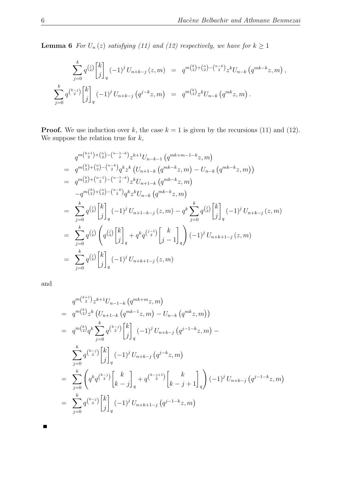**Lemma 6** For  $U_n(z)$  satisfying (11) and (12) respectively, we have for  $k \ge 1$ 

$$
\sum_{j=0}^{k} q^{\binom{j}{2}} \begin{bmatrix} k \\ j \end{bmatrix}_{q} (-1)^{j} U_{n+k-j} (z, m) = q^{m \binom{k}{2} + \binom{n}{2} - \binom{n-k}{2}} z^{k} U_{n-k} (q^{mk-k} z, m),
$$
  

$$
\sum_{j=0}^{k} q^{\binom{k-j}{2}} \begin{bmatrix} k \\ j \end{bmatrix}_{q} (-1)^{j} U_{n+k-j} (q^{j-k} z, m) = q^{m \binom{k}{2}} z^{k} U_{n-k} (q^{mk} z, m).
$$

**Proof.** We use induction over k, the case  $k = 1$  is given by the recursions (11) and (12). We suppose the relation true for  $k$ ,

$$
q^{m\binom{k+1}{2}+\binom{n}{2}-\binom{n-1-k}{2}}z^{k+1}U_{n-k-1}\left(q^{mk+m-1-k}z,m\right)
$$
\n
$$
= q^{m\binom{k}{2}+\binom{n}{2}-\binom{n-k}{2}}q^{k}z^{k}\left(U_{n+1-k}\left(q^{mk-k}z,m\right)-U_{n-k}\left(q^{mk-k}z,m\right)\right)
$$
\n
$$
= q^{m\binom{k}{2}+\binom{n-1}{2}-\binom{n-1-k}{2}}z^{k}U_{n+1-k}\left(q^{mk-k}z,m\right)
$$
\n
$$
-q^{m\binom{k}{2}+\binom{n}{2}-\binom{n-k}{2}}q^{k}z^{k}U_{n-k}\left(q^{mk-k}z,m\right)
$$
\n
$$
= \sum_{j=0}^{k}q^{\binom{j}{2}}\binom{k}{j}_{q}\left(-1\right)^{j}U_{n+1-k-j}\left(z,m\right)-q^{k}\sum_{j=0}^{k}q^{\binom{j}{2}}\binom{k}{j}_{q}\left(-1\right)^{j}U_{n+k-j}\left(z,m\right)
$$
\n
$$
= \sum_{j=0}^{k}q^{\binom{j}{2}}\left(q^{\binom{j}{2}}\binom{k}{j}_{q}+q^{k}q^{\binom{j-1}{2}}\binom{k}{j-1}_{q}\left(-1\right)^{j}U_{n+k+1-j}\left(z,m\right)
$$
\n
$$
= \sum_{j=0}^{k}q^{\binom{j}{2}}\binom{k}{j}_{q}\left(-1\right)^{j}U_{n+k+1-j}\left(z,m\right)
$$

and

 $\blacksquare$ 

$$
q^{m\binom{k+1}{2}}z^{k+1}U_{n-1-k}\left(q^{mk+m}z,m\right)
$$
  
\n
$$
= q^{m\binom{k}{2}}z^{k}\left(U_{n+1-k}\left(q^{mk-1}z,m\right) - U_{n-k}\left(q^{mk}z,m\right)\right)
$$
  
\n
$$
= q^{m\binom{k}{2}}q^{k}\sum_{j=0}^{k}q^{\binom{k-j}{2}}\begin{bmatrix}k\\j\end{bmatrix}_{q}\left(-1\right)^{j}U_{n+k-j}\left(q^{j-1-k}z,m\right) -
$$
  
\n
$$
\sum_{j=0}^{k}q^{\binom{k-j}{2}}\begin{bmatrix}k\\j\end{bmatrix}_{q}\left(-1\right)^{j}U_{n+k-j}\left(q^{j-k}z,m\right)
$$
  
\n
$$
= \sum_{j=0}^{k}\left(q^{k}q^{\binom{k-j}{2}}\begin{bmatrix}k\\k-j\end{bmatrix}_{q} + q^{\binom{k-j+1}{2}}\begin{bmatrix}k\\k-j+1\end{bmatrix}_{q}\right)\left(-1\right)^{j}U_{n+k-j}\left(q^{j-1-k}z,m\right)
$$
  
\n
$$
= \sum_{j=0}^{k}q^{\binom{k-j}{2}}\begin{bmatrix}k\\j\end{bmatrix}_{q}\left(-1\right)^{j}U_{n+k+1-j}\left(q^{j-1-k}z,m\right)
$$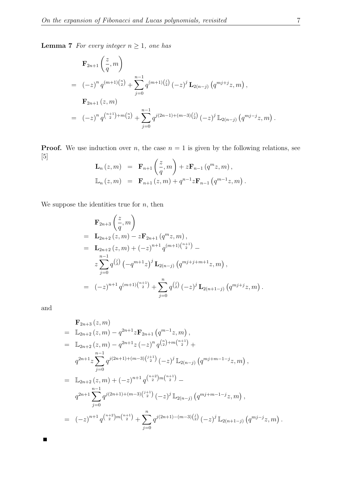**Lemma 7** For every integer  $n \geq 1$ , one has

$$
\mathbf{F}_{2n+1}\left(\frac{z}{q},m\right)
$$
\n
$$
= (-z)^n q^{(m+1)\binom{n}{2}} + \sum_{j=0}^{n-1} q^{(m+1)\binom{j}{2}} (-z)^j \mathbf{L}_{2(n-j)}\left(q^{mj+j}z,m\right),
$$
\n
$$
\mathbf{F}_{2n+1}(z,m)
$$
\n
$$
= (-z)^n q^{\binom{n+1}{2}+m\binom{n}{2}} + \sum_{j=0}^{n-1} q^{j(2n-1)+(m-3)\binom{j}{2}} (-z)^j \mathbb{L}_{2(n-j)}\left(q^{mj-j}z,m\right)
$$

**Proof.** We use induction over n, the case  $n = 1$  is given by the following relations, see [5]

$$
\mathbf{L}_{n}(z,m) = \mathbf{F}_{n+1}\left(\frac{z}{q},m\right) + z\mathbf{F}_{n-1}(q^{m}z,m),
$$
  

$$
\mathbb{L}_{n}(z,m) = \mathbf{F}_{n+1}(z,m) + q^{n-1}z\mathbf{F}_{n-1}(q^{m-1}z,m).
$$

We suppose the identities true for  $\boldsymbol{n},$  then

$$
\mathbf{F}_{2n+3}\left(\frac{z}{q},m\right)
$$
\n
$$
= \mathbf{L}_{2n+2}\left(z,m\right) - z\mathbf{F}_{2n+1}\left(q^m z,m\right),
$$
\n
$$
= \mathbf{L}_{2n+2}\left(z,m\right) + \left(-z\right)^{n+1} q^{(m+1)\binom{n+1}{2}} -
$$
\n
$$
z \sum_{j=0}^{n-1} q^{\binom{j}{2}} \left(-q^{m+1} z\right)^j \mathbf{L}_{2(n-j)}\left(q^{mj+j+m+1} z,m\right),
$$
\n
$$
= (-z)^{n+1} q^{(m+1)\binom{n+1}{2}} + \sum_{j=0}^{n} q^{\binom{j}{2}} \left(-z\right)^j \mathbf{L}_{2(n+1-j)}\left(q^{mj+j} z,m\right).
$$

and

 $\blacksquare$ 

$$
\mathbf{F}_{2n+3}(z,m)
$$
\n
$$
= \mathbb{L}_{2n+2}(z,m) - q^{2n+1}z\mathbf{F}_{2n+1}(q^{m-1}z,m),
$$
\n
$$
= \mathbb{L}_{2n+2}(z,m) - q^{2n+1}z(-z)^n q^{{n \choose 2} + m{n+1 \choose 2}} +
$$
\n
$$
q^{2n+1}z \sum_{j=0}^{n-1} q^{j(2n+1)+(m-3){j+1 \choose 2}}(-z)^j \mathbb{L}_{2(n-j)}(q^{mj+m-1-j}z,m),
$$
\n
$$
= \mathbb{L}_{2n+2}(z,m) + (-z)^{n+1} q^{{n+2 \choose 2}m{n+1 \choose 2}} -
$$
\n
$$
q^{2n+1} \sum_{j=0}^{n-1} q^{j(2n+1)+(m-3){j+1 \choose 2}}(-z)^j \mathbb{L}_{2(n-j)}(q^{mj+m-1-j}z,m),
$$
\n
$$
= (-z)^{n+1} q^{{n+2 \choose 2}m{n+1 \choose 2}} + \sum_{j=0}^{n} q^{j(2n+1)-(m-3){j \choose 2}}(-z)^j \mathbb{L}_{2(n+1-j)}(q^{mj-j}z,m).
$$

.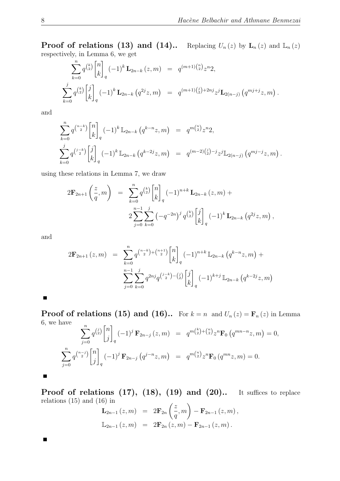**Proof of relations (13) and (14)..** Replacing  $U_n(z)$  by  $\mathbf{L}_n(z)$  and  $\mathbb{L}_n(z)$ respectively, in Lemma 6, we get

$$
\sum_{k=0}^{n} q^{\binom{k}{2}} \begin{bmatrix} n \\ k \end{bmatrix}_{q} (-1)^{k} \mathbf{L}_{2n-k}(z,m) = q^{(m+1)\binom{n}{2}} z^{n} 2,
$$
\n
$$
\sum_{k=0}^{j} q^{\binom{k}{2}} \begin{bmatrix} j \\ k \end{bmatrix}_{q} (-1)^{k} \mathbf{L}_{2n-k}(q^{2j}z,m) = q^{(m+1)\binom{j}{2}+2nj} z^{j} \mathbf{L}_{2(n-j)}(q^{mj+j}z,m).
$$

and

$$
\sum_{k=0}^{n} q^{\binom{n-k}{2}} \begin{bmatrix} n \\ k \end{bmatrix}_{q} (-1)^{k} \mathbb{L}_{2n-k} (q^{k-n}z, m) = q^{m\binom{n}{2}} z^{n} 2,
$$
\n
$$
\sum_{k=0}^{j} q^{\binom{j-k}{2}} \begin{bmatrix} j \\ k \end{bmatrix}_{q} (-1)^{k} \mathbb{L}_{2n-k} (q^{k-2j}z, m) = q^{(m-2)\binom{j}{2} - j} z^{j} \mathbb{L}_{2(n-j)} (q^{mj-j}z, m).
$$

using these relations in Lemma 7, we draw

$$
2\mathbf{F}_{2n+1}\left(\frac{z}{q},m\right) = \sum_{k=0}^{n} q^{\binom{k}{2}} \begin{bmatrix} n \\ k \end{bmatrix}_{q} (-1)^{n+k} \mathbf{L}_{2n-k}(z,m) + 2\sum_{j=0}^{n-1} \sum_{k=0}^{j} \left(-q^{-2n}\right)^{j} q^{\binom{k}{2}} \begin{bmatrix} j \\ k \end{bmatrix}_{q} (-1)^{k} \mathbf{L}_{2n-k}\left(q^{2j}z,m\right),
$$

and

$$
2\mathbf{F}_{2n+1}(z,m) = \sum_{k=0}^{n} q^{\binom{n-k}{2} + \binom{n+1}{2}} \begin{bmatrix} n \\ k \end{bmatrix}_{q} (-1)^{n+k} \mathbb{L}_{2n-k} (q^{k-n}z, m) + \sum_{j=0}^{n-1} \sum_{k=0}^{j} q^{2nj} q^{\binom{j-k}{2} - \binom{j}{2}} \begin{bmatrix} j \\ k \end{bmatrix}_{q} (-1)^{k+j} \mathbb{L}_{2n-k} (q^{k-2j}z, m)
$$

 $\blacksquare$ 

 $\blacksquare$ 

 $\blacksquare$ 

**Proof of relations (15) and (16)..** For  $k = n$  and  $U_n(z) = \mathbf{F}_n(z)$  in Lemma 6, we have

$$
\sum_{j=0}^{n} q^{\binom{j}{2}} \begin{bmatrix} n \\ j \end{bmatrix}_{q} (-1)^{j} \mathbf{F}_{2n-j} (z, m) = q^{m \binom{k}{2} + \binom{n}{2}} z^{n} \mathbf{F}_{0} (q^{mn-n} z, m) = 0,
$$
  

$$
\sum_{j=0}^{n} q^{\binom{n-j}{2}} \begin{bmatrix} n \\ j \end{bmatrix}_{q} (-1)^{j} \mathbf{F}_{2n-j} (q^{j-n} z, m) = q^{m \binom{n}{2}} z^{n} \mathbf{F}_{0} (q^{mn} z, m) = 0.
$$

**Proof of relations (17), (18), (19) and (20)..** It suffices to replace relations (15) and (16) in  $\overline{ }$ 

$$
\mathbf{L}_{2n-1}(z,m) = 2\mathbf{F}_{2n}\left(\frac{z}{q},m\right) - \mathbf{F}_{2n-1}(z,m),
$$
  

$$
\mathbb{L}_{2n-1}(z,m) = 2\mathbf{F}_{2n}(z,m) - \mathbf{F}_{2n-1}(z,m).
$$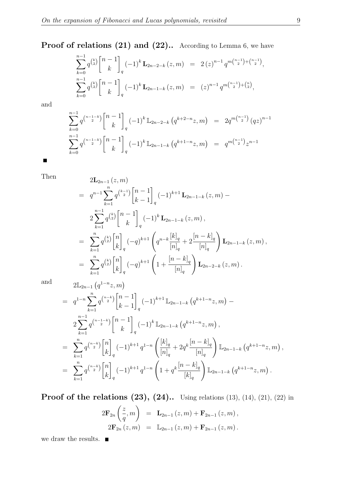# Proof of relations (21) and (22).. According to Lemma 6, we have

$$
\sum_{k=0}^{n-1} q^{\binom{k}{2}} \begin{bmatrix} n-1 \\ k \end{bmatrix}_q (-1)^k \mathbf{L}_{2n-2-k}(z,m) = 2(z)^{n-1} q^{m \binom{n-1}{2} + \binom{n-1}{2}},
$$
  

$$
\sum_{k=0}^{n-1} q^{\binom{k}{2}} \begin{bmatrix} n-1 \\ k \end{bmatrix}_q (-1)^k \mathbf{L}_{2n-1-k}(z,m) = (z)^{n-1} q^{m \binom{n-1}{2} + \binom{n}{2}},
$$

and

$$
\sum_{k=0}^{n-1} q^{n-1-k} {n-1 \choose k} {n-1 \choose k} q^{(-1)^k \mathbb{L}_{2n-2-k} (q^{k+2-n}z, m)} = 2q^{m\binom{n-1}{2}} (qz)^{n-1}
$$
  

$$
\sum_{k=0}^{n-1} q^{n-1-k} {n-1 \choose k} {n-1 \choose k} {(-1)^k \mathbb{L}_{2n-1-k} (q^{k+1-n}z, m)} = q^{m\binom{n-1}{2}} z^{n-1}
$$

 $\blacksquare$ 

Then  
\n
$$
2\mathbf{L}_{2n-1}(z,m)
$$
\n
$$
= q^{n-1} \sum_{k=1}^{n} q^{\binom{k-1}{2}} \begin{bmatrix} n-1 \\ k-1 \end{bmatrix}_{q} (-1)^{k+1} \mathbf{L}_{2n-1-k}(z,m) - 2 \sum_{k=1}^{n-1} q^{\binom{k}{2}} \begin{bmatrix} n-1 \\ k \end{bmatrix}_{q} (-1)^{k} \mathbf{L}_{2n-1-k}(z,m),
$$
\n
$$
= \sum_{k=1}^{n} q^{\binom{k}{2}} \begin{bmatrix} n \\ k \end{bmatrix}_{q} (-q)^{k+1} \left( q^{n-k} \frac{[k]_{q}}{[n]_{q}} + 2 \frac{[n-k]_{q}}{[n]_{q}} \right) \mathbf{L}_{2n-1-k}(z,m),
$$
\n
$$
= \sum_{k=1}^{n} q^{\binom{k}{2}} \begin{bmatrix} n \\ k \end{bmatrix}_{q} (-q)^{k+1} \left( 1 + \frac{[n-k]_{q}}{[n]_{q}} \right) \mathbf{L}_{2n-2-k}(z,m).
$$

and  
\n
$$
2\mathbb{L}_{2n-1} (q^{1-n}z,m)
$$
\n
$$
= q^{1-n} \sum_{k=1}^n q^{\binom{n-k}{2}} {n-1 \brack k-1}_{q} (-1)^{k+1} \mathbb{L}_{2n-1-k} (q^{k+1-n}z,m) - 2 \sum_{k=1}^{n-1} q^{\binom{n-1-k}{2}} {n-1 \brack k}_{q} (-1)^k \mathbb{L}_{2n-1-k} (q^{k+1-n}z,m),
$$
\n
$$
= \sum_{k=1}^n q^{\binom{n-k}{2}} {n \brack k}_{q} (-1)^{k+1} q^{1-n} \left( \frac{[k]_q}{[n]_q} + 2q^k \frac{[n-k]_q}{[n]_q} \right) \mathbb{L}_{2n-1-k} (q^{k+1-n}z,m),
$$
\n
$$
= \sum_{k=1}^n q^{\binom{n-k}{2}} {n \brack k}_{q} (-1)^{k+1} q^{1-n} \left( 1 + q^k \frac{[n-k]_q}{[k]_q} \right) \mathbb{L}_{2n-1-k} (q^{k+1-n}z,m).
$$

**Proof of the relations (23), (24)..** Using relations (13), (14), (21), (22) in

$$
2\mathbf{F}_{2n}\left(\frac{z}{q},m\right) = \mathbf{L}_{2n-1}(z,m) + \mathbf{F}_{2n-1}(z,m),
$$
  

$$
2\mathbf{F}_{2n}(z,m) = \mathbb{L}_{2n-1}(z,m) + \mathbf{F}_{2n-1}(z,m).
$$

we draw the results.  $\quadblacksquare$